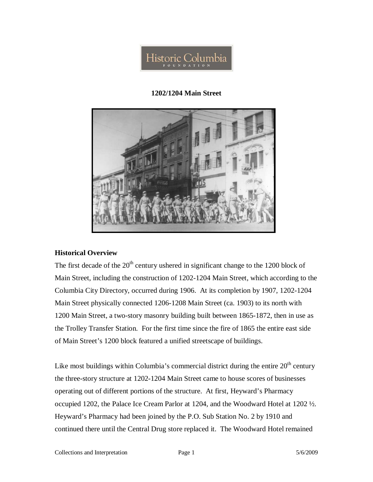

## **1202/1204 Main Street**



## **Historical Overview**

The first decade of the  $20<sup>th</sup>$  century ushered in significant change to the 1200 block of Main Street, including the construction of 1202-1204 Main Street, which according to the Columbia City Directory, occurred during 1906. At its completion by 1907, 1202-1204 Main Street physically connected 1206-1208 Main Street (ca. 1903) to its north with 1200 Main Street, a two-story masonry building built between 1865-1872, then in use as the Trolley Transfer Station. For the first time since the fire of 1865 the entire east side of Main Street's 1200 block featured a unified streetscape of buildings.

Like most buildings within Columbia's commercial district during the entire  $20<sup>th</sup>$  century the three-story structure at 1202-1204 Main Street came to house scores of businesses operating out of different portions of the structure. At first, Heyward's Pharmacy occupied 1202, the Palace Ice Cream Parlor at 1204, and the Woodward Hotel at 1202 ½. Heyward's Pharmacy had been joined by the P.O. Sub Station No. 2 by 1910 and continued there until the Central Drug store replaced it. The Woodward Hotel remained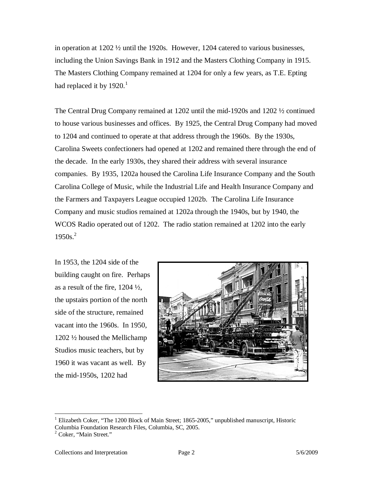in operation at 1202 ½ until the 1920s. However, 1204 catered to various businesses, including the Union Savings Bank in 1912 and the Masters Clothing Company in 1915. The Masters Clothing Company remained at 1204 for only a few years, as T.E. Epting had replaced it by  $1920.<sup>1</sup>$ 

The Central Drug Company remained at 1202 until the mid-1920s and 1202 ½ continued to house various businesses and offices. By 1925, the Central Drug Company had moved to 1204 and continued to operate at that address through the 1960s. By the 1930s, Carolina Sweets confectioners had opened at 1202 and remained there through the end of the decade. In the early 1930s, they shared their address with several insurance companies. By 1935, 1202a housed the Carolina Life Insurance Company and the South Carolina College of Music, while the Industrial Life and Health Insurance Company and the Farmers and Taxpayers League occupied 1202b. The Carolina Life Insurance Company and music studios remained at 1202a through the 1940s, but by 1940, the WCOS Radio operated out of 1202. The radio station remained at 1202 into the early  $1950s.<sup>2</sup>$ 

In 1953, the 1204 side of the building caught on fire. Perhaps as a result of the fire, 1204 ½, the upstairs portion of the north side of the structure, remained vacant into the 1960s. In 1950, 1202 ½ housed the Mellichamp Studios music teachers, but by 1960 it was vacant as well. By the mid-1950s, 1202 had



-

<sup>&</sup>lt;sup>1</sup> Elizabeth Coker, "The 1200 Block of Main Street; 1865-2005," unpublished manuscript, Historic Columbia Foundation Research Files, Columbia, SC, 2005. 2 Coker, "Main Street."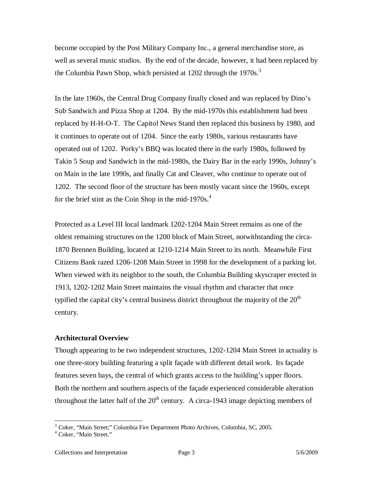become occupied by the Post Military Company Inc., a general merchandise store, as well as several music studios. By the end of the decade, however, it had been replaced by the Columbia Pawn Shop, which persisted at 1202 through the 1970s.<sup>3</sup>

In the late 1960s, the Central Drug Company finally closed and was replaced by Dino's Sub Sandwich and Pizza Shop at 1204. By the mid-1970s this establishment had been replaced by H-H-O-T. The Capitol News Stand then replaced this business by 1980, and it continues to operate out of 1204. Since the early 1980s, various restaurants have operated out of 1202. Porky's BBQ was located there in the early 1980s, followed by Takin 5 Soup and Sandwich in the mid-1980s, the Dairy Bar in the early 1990s, Johnny's on Main in the late 1990s, and finally Cat and Cleaver, who continue to operate out of 1202. The second floor of the structure has been mostly vacant since the 1960s, except for the brief stint as the Coin Shop in the mid-1970s. $4$ 

Protected as a Level III local landmark 1202-1204 Main Street remains as one of the oldest remaining structures on the 1200 block of Main Street, notwithstanding the circa-1870 Brennen Building, located at 1210-1214 Main Street to its north. Meanwhile First Citizens Bank razed 1206-1208 Main Street in 1998 for the development of a parking lot. When viewed with its neighbor to the south, the Columbia Building skyscraper erected in 1913, 1202-1202 Main Street maintains the visual rhythm and character that once typified the capital city's central business district throughout the majority of the  $20<sup>th</sup>$ century.

## **Architectural Overview**

Though appearing to be two independent structures, 1202-1204 Main Street in actuality is one three-story building featuring a split façade with different detail work. Its façade features seven bays, the central of which grants access to the building's upper floors. Both the northern and southern aspects of the façade experienced considerable alteration throughout the latter half of the  $20<sup>th</sup>$  century. A circa-1943 image depicting members of

 3 Coker, "Main Street;" Columbia Fire Department Photo Archives, Columbia, SC, 2005. 4 Coker, "Main Street."